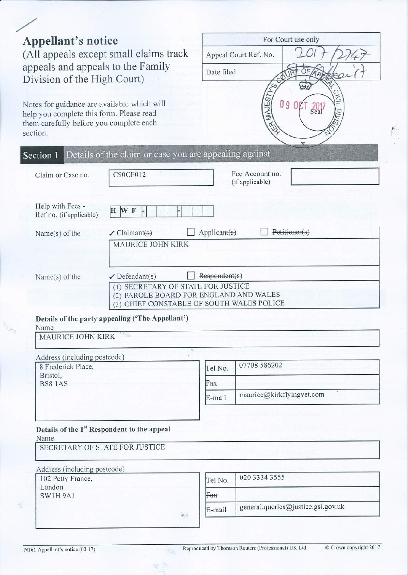| <b>Appellant's notice</b>                                                                                                                      |                                                                                                                           | For Court use only |                                    |               |
|------------------------------------------------------------------------------------------------------------------------------------------------|---------------------------------------------------------------------------------------------------------------------------|--------------------|------------------------------------|---------------|
|                                                                                                                                                | (All appeals except small claims track)                                                                                   |                    | Appeal Court Ref. No.              |               |
| appeals and appeals to the Family                                                                                                              |                                                                                                                           | Date filed         |                                    |               |
| Division of the High Court)                                                                                                                    |                                                                                                                           |                    |                                    |               |
|                                                                                                                                                |                                                                                                                           |                    |                                    | MIN.          |
| Notes for guidance are available which will<br>help you complete this form. Please read<br>them carefully before you complete each<br>section. |                                                                                                                           |                    | MAJES7                             | O 9<br>Seal   |
| Section 1                                                                                                                                      | Details of the claim or case you are appealing against                                                                    |                    |                                    |               |
| Claim or Case no.                                                                                                                              | C90CF012                                                                                                                  |                    | Fee Account no.<br>(if applicable) |               |
| Help with Fees -<br>Ref no. (if applicable)                                                                                                    | H W F                                                                                                                     |                    |                                    |               |
| Name $(*)$ of the                                                                                                                              | $\checkmark$ Claimant(s)                                                                                                  | Applicant(s)       |                                    | Petitioner(s) |
|                                                                                                                                                | MAURICE JOHN KIRK                                                                                                         |                    |                                    |               |
| Name $(s)$ of the                                                                                                                              | $\checkmark$ Defendant(s)                                                                                                 | Respondent(s)      |                                    |               |
|                                                                                                                                                | (1) SECRETARY OF STATE FOR JUSTICE<br>(2) PAROLE BOARD FOR ENGLAND AND WALES<br>(3) CHIEF CONSTABLE OF SOUTH WALES POLICE |                    |                                    |               |
|                                                                                                                                                |                                                                                                                           |                    |                                    |               |
| Details of the party appealing ('The Appellant')<br>Name                                                                                       |                                                                                                                           |                    |                                    |               |
| MAURICE JOHN KIRK                                                                                                                              |                                                                                                                           |                    |                                    |               |
| Address (including postcode)                                                                                                                   | 50                                                                                                                        |                    |                                    |               |
| 8 Frederick Place,                                                                                                                             |                                                                                                                           | Tel No.            | 07708 586202                       |               |
| Bristol,<br><b>BS8 1AS</b>                                                                                                                     |                                                                                                                           | Fax                |                                    |               |
|                                                                                                                                                |                                                                                                                           | E-mail             | maurice@kirkflyingvet.com          |               |
|                                                                                                                                                |                                                                                                                           |                    |                                    |               |
| Details of the 1st Respondent to the appeal                                                                                                    |                                                                                                                           |                    |                                    |               |
| Name<br>SECRETARY OF STATE FOR JUSTICE                                                                                                         |                                                                                                                           |                    |                                    |               |
| Address (including postcode)                                                                                                                   |                                                                                                                           |                    |                                    |               |
| 102 Petty France,                                                                                                                              |                                                                                                                           | Tel No.            | 020 3334 3555                      |               |
| London<br>SW1H9AJ                                                                                                                              |                                                                                                                           | Fax                |                                    |               |

e 5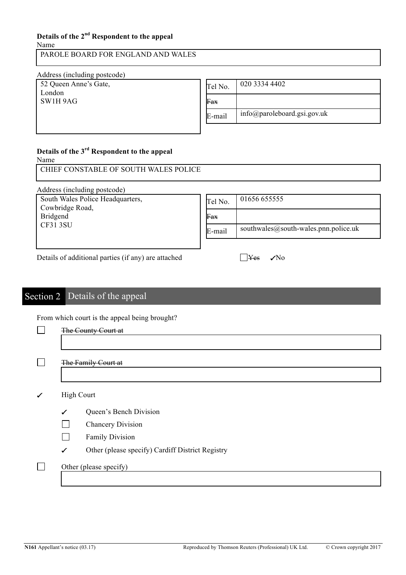# **Details of the 2nd Respondent to the appeal**

Name

PAROLE BOARD FOR ENGLAND AND WALES

#### Address (including postcode)

| 52 Queen Anne's Gate,<br>London | Tel No.    | 020 3334 4402                          |
|---------------------------------|------------|----------------------------------------|
| SW1H 9AG                        | <b>Fax</b> |                                        |
|                                 | E-mail     | $info(\omega)$ parole board.gsi.gov.uk |
|                                 |            |                                        |

## **Details of the 3rd Respondent to the appeal**

Name

CHIEF CONSTABLE OF SOUTH WALES POLICE

Address (including postcode)

South Wales Police Headquarters, Cowbridge Road, Bridgend CF31 3SU

| Tel No.    | 01656 655555                         |
|------------|--------------------------------------|
| $\alpha v$ |                                      |
| E-mail     | southwales@south-wales.pnn.police.uk |

Details of additional parties (if any) are attached  $\Box$  Yes  $\Box$  YNo

# Section 2 Details of the appeal

From which court is the appeal being brought?

|   | Trom which court is the appear senig srought.                    |
|---|------------------------------------------------------------------|
|   | The County Court at                                              |
|   |                                                                  |
|   |                                                                  |
|   | The Family Court at                                              |
|   |                                                                  |
|   |                                                                  |
| ✓ | <b>High Court</b>                                                |
|   | Queen's Bench Division<br>✓                                      |
|   | Chancery Division                                                |
|   | Family Division                                                  |
|   | Other (please specify) Cardiff District Registry<br>$\checkmark$ |
|   | Other (please specify)                                           |
|   |                                                                  |
|   |                                                                  |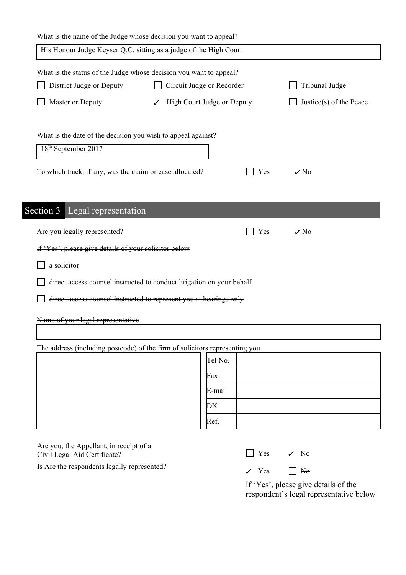|                                                                             | What is the status of the Judge whose decision you want to appeal? |     |                         |
|-----------------------------------------------------------------------------|--------------------------------------------------------------------|-----|-------------------------|
| District Judge or Deputy                                                    | Circuit Judge or Recorder                                          |     | <b>Tribunal Judge</b>   |
| <b>Master or Deputy</b>                                                     | High Court Judge or Deputy<br>$\checkmark$                         |     | Justice(s) of the Peace |
| What is the date of the decision you wish to appeal against?                |                                                                    |     |                         |
| 18 <sup>th</sup> September 2017                                             |                                                                    |     |                         |
| To which track, if any, was the claim or case allocated?                    |                                                                    | Yes | $\sqrt{N_0}$            |
|                                                                             |                                                                    |     |                         |
| Legal representation<br>Section 3                                           |                                                                    |     |                         |
| Are you legally represented?                                                |                                                                    | Yes | $\sqrt{N_0}$            |
| If 'Yes', please give details of your solicitor below                       |                                                                    |     |                         |
| a solicitor                                                                 |                                                                    |     |                         |
| direct access counsel instructed to conduct litigation on your behalf       |                                                                    |     |                         |
| direct access counsel instructed to represent you at hearings only          |                                                                    |     |                         |
| Name of your legal representative                                           |                                                                    |     |                         |
|                                                                             |                                                                    |     |                         |
| The address (including postcode) of the firm of solicitors representing you |                                                                    |     |                         |
|                                                                             | Tel-No.                                                            |     |                         |
|                                                                             | Fax                                                                |     |                         |
|                                                                             |                                                                    |     |                         |

| <b>E-mail</b>           |  |
|-------------------------|--|
| $\mathbf{r}$<br>r<br>ψΔ |  |
| Ref.                    |  |
|                         |  |

Are you, the Appellant, in receipt of a Civil Legal Aid Certificate?  $\Box$  Yes  $\Box$  No

Is Are the respondents legally represented?  $\checkmark$  Yes  $\Box$  No

| Yes | N٥ |
|-----|----|
|     |    |

If 'Yes', please give details of the respondent's legal representative below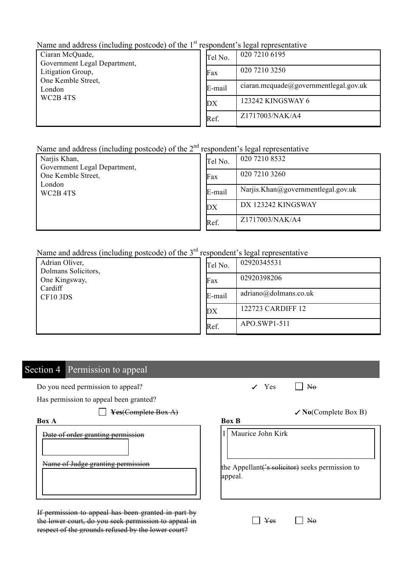## Name and address (including postcode) of the  $1<sup>st</sup>$  respondent's legal representative

| $\frac{1}{2}$<br>Ciaran McQuade,<br>Government Legal Department,<br>Litigation Group,<br>One Kemble Street,<br>London<br>WC <sub>2</sub> B <sub>4TS</sub> | Tel No.<br>Fax<br>E-mail<br>DX | 020 7210 6195<br>020 7210 3250<br>ciaran.mcquade@governmentlegal.gov.uk<br>123242 KINGSWAY 6 |
|-----------------------------------------------------------------------------------------------------------------------------------------------------------|--------------------------------|----------------------------------------------------------------------------------------------|
|                                                                                                                                                           | Ref.                           | Z1717003/NAK/A4                                                                              |

# Name and address (including postcode) of the  $2<sup>nd</sup>$  respondent's legal representative

| Narjis Khan,<br>Government Legal Department,<br>One Kemble Street,<br>London<br>WC2B 4TS | Tel No. | 020 7210 8532                      |
|------------------------------------------------------------------------------------------|---------|------------------------------------|
|                                                                                          | Fax     | 020 7210 3260                      |
|                                                                                          | E-mail  | Narjis.Khan@governmentlegal.gov.uk |
|                                                                                          | DX      | DX 123242 KINGSWAY                 |
|                                                                                          | Ref.    | Z1717003/NAK/A4                    |

# Name and address (including postcode) of the 3<sup>rd</sup> respondent's legal representative

| Adrian Oliver,<br>Dolmans Solicitors, | Tel No. | 02920345531                   |
|---------------------------------------|---------|-------------------------------|
| One Kingsway,                         | Fax     | 02920398206                   |
| Cardiff<br><b>CF10 3DS</b>            | E-mail  | $\alpha$ driano@dolmans.co.uk |
|                                       | DX      | 122723 CARDIFF 12             |
|                                       | Ref.    | $APO.SWP1-511$                |

# Section 4 Permission to appeal

Do you need permission to appeal?  $\checkmark$  Yes  $\Box$  No

Has permission to appeal been granted?



If permission to appeal has been granted in part by the lower court, do you seek permission to appeal in respect of the grounds refused by the lower court?

appeal.

 $\Box$  Yes  $\Box$  No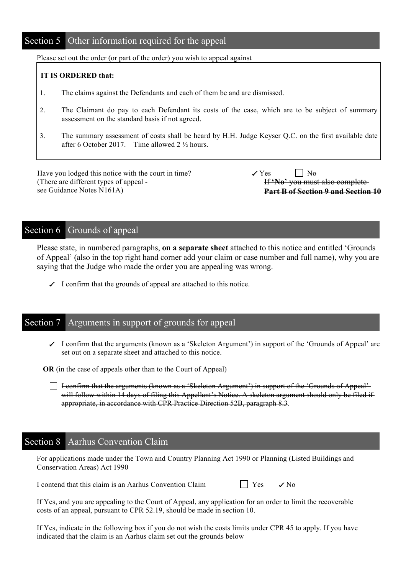# Section 5 Other information required for the appeal

Please set out the order (or part of the order) you wish to appeal against

#### **IT IS ORDERED that:**

- 1. The claims against the Defendants and each of them be and are dismissed.
- 2. The Claimant do pay to each Defendant its costs of the case, which are to be subject of summary assessment on the standard basis if not agreed.
- 3. The summary assessment of costs shall be heard by H.H. Judge Keyser Q.C. on the first available date after 6 October 2017. Time allowed 2 ½ hours.

Have you lodged this notice with the court in time? (There are different types of appeal see Guidance Notes N161A)

 $\checkmark$  Yes No If **'No'** you must also complete **Part B of Section 9 and Section 10**

# Section 6 Grounds of appeal

Please state, in numbered paragraphs, **on a separate sheet** attached to this notice and entitled 'Grounds of Appeal' (also in the top right hand corner add your claim or case number and full name), why you are saying that the Judge who made the order you are appealing was wrong.

 $\checkmark$  I confirm that the grounds of appeal are attached to this notice.

## Section 7 Arguments in support of grounds for appeal

 $\checkmark$  I confirm that the arguments (known as a 'Skeleton Argument') in support of the 'Grounds of Appeal' are set out on a separate sheet and attached to this notice.

**OR** (in the case of appeals other than to the Court of Appeal)

I confirm that the arguments (known as a 'Skeleton Argument') in support of the 'Grounds of Appeal' will follow within 14 days of filing this Appellant's Notice. A skeleton argument should only be filed if appropriate, in accordance with CPR Practice Direction 52B, paragraph 8.3.

## Section 8 Aarhus Convention Claim

For applications made under the Town and Country Planning Act 1990 or Planning (Listed Buildings and Conservation Areas) Act 1990

I contend that this claim is an Aarhus Convention Claim  $\Box$  Yes  $\checkmark$  No

| $\sim$<br>٠ | J |
|-------------|---|
|-------------|---|

If Yes, and you are appealing to the Court of Appeal, any application for an order to limit the recoverable costs of an appeal, pursuant to CPR 52.19, should be made in section 10.

If Yes, indicate in the following box if you do not wish the costs limits under CPR 45 to apply. If you have indicated that the claim is an Aarhus claim set out the grounds below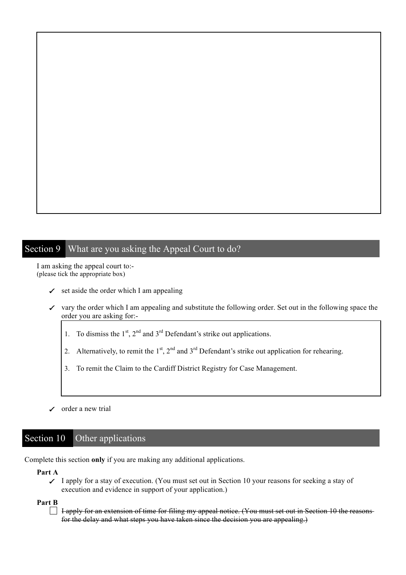# Section 9 What are you asking the Appeal Court to do?

I am asking the appeal court to:- (please tick the appropriate box)

- $\checkmark$  set aside the order which I am appealing
- ✓ vary the order which I am appealing and substitute the following order. Set out in the following space the order you are asking for:-
	- 1. To dismiss the  $1<sup>st</sup>$ ,  $2<sup>nd</sup>$  and  $3<sup>rd</sup>$  Defendant's strike out applications.
	- 2. Alternatively, to remit the  $1<sup>st</sup>$ ,  $2<sup>nd</sup>$  and  $3<sup>rd</sup>$  Defendant's strike out application for rehearing.
	- 3. To remit the Claim to the Cardiff District Registry for Case Management.
- $\angle$  order a new trial

# Section 10 Other applications

Complete this section **only** if you are making any additional applications.

#### **Part A**

 $\checkmark$  I apply for a stay of execution. (You must set out in Section 10 your reasons for seeking a stay of execution and evidence in support of your application.)

#### **Part B**

 $\Box$  I apply for an extension of time for filing my appeal notice. (You must set out in Section 10 the reasonsfor the delay and what steps you have taken since the decision you are appealing.)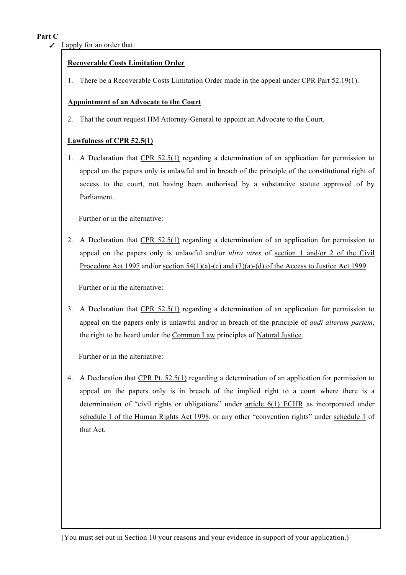### **Part C**

 $\angle$  I apply for an order that:

## **Recoverable Costs Limitation Order**

1. There be a Recoverable Costs Limitation Order made in the appeal under CPR Part 52.19(1).

### **Appointment of an Advocate to the Court**

2. That the court request HM Attorney-General to appoint an Advocate to the Court.

### **Lawfulness of CPR 52.5(1)**

1. A Declaration that CPR 52.5(1) regarding a determination of an application for permission to appeal on the papers only is unlawful and in breach of the principle of the constitutional right of access to the court, not having been authorised by a substantive statute approved of by Parliament.

Further or in the alternative:

2. A Declaration that CPR 52.5(1) regarding a determination of an application for permission to appeal on the papers only is unlawful and/or *ultra vires* of section 1 and/or 2 of the Civil Procedure Act 1997 and/or section 54(1)(a)-(c) and (3)(a)-(d) of the Access to Justice Act 1999.

Further or in the alternative:

3. A Declaration that CPR 52.5(1) regarding a determination of an application for permission to appeal on the papers only is unlawful and/or in breach of the principle of *audi alteram partem*, the right to be heard under the Common Law principles of Natural Justice.

Further or in the alternative:

4. A Declaration that CPR Pt. 52.5(1) regarding a determination of an application for permission to appeal on the papers only is in breach of the implied right to a court where there is a determination of "civil rights or obligations" under article 6(1) ECHR as incorporated under schedule 1 of the Human Rights Act 1998, or any other "convention rights" under schedule 1 of that Act.

(You must set out in Section 10 your reasons and your evidence in support of your application.)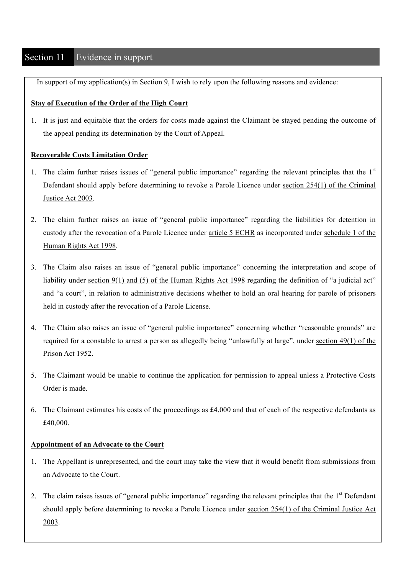# Section 11 Evidence in support

In support of my application(s) in Section 9, I wish to rely upon the following reasons and evidence:

#### **Stay of Execution of the Order of the High Court**

1. It is just and equitable that the orders for costs made against the Claimant be stayed pending the outcome of the appeal pending its determination by the Court of Appeal.

#### **Recoverable Costs Limitation Order**

- 1. The claim further raises issues of "general public importance" regarding the relevant principles that the  $1<sup>st</sup>$ Defendant should apply before determining to revoke a Parole Licence under section 254(1) of the Criminal Justice Act 2003.
- 2. The claim further raises an issue of "general public importance" regarding the liabilities for detention in custody after the revocation of a Parole Licence under article 5 ECHR as incorporated under schedule 1 of the Human Rights Act 1998.
- 3. The Claim also raises an issue of "general public importance" concerning the interpretation and scope of liability under section 9(1) and (5) of the Human Rights Act 1998 regarding the definition of "a judicial act" and "a court", in relation to administrative decisions whether to hold an oral hearing for parole of prisoners held in custody after the revocation of a Parole License.
- 4. The Claim also raises an issue of "general public importance" concerning whether "reasonable grounds" are required for a constable to arrest a person as allegedly being "unlawfully at large", under section 49(1) of the Prison Act 1952.
- 5. The Claimant would be unable to continue the application for permission to appeal unless a Protective Costs Order is made.
- 6. The Claimant estimates his costs of the proceedings as  $\text{\pounds}4,000$  and that of each of the respective defendants as £40,000.

#### **Appointment of an Advocate to the Court**

- 1. The Appellant is unrepresented, and the court may take the view that it would benefit from submissions from an Advocate to the Court.
- 2. The claim raises issues of "general public importance" regarding the relevant principles that the 1<sup>st</sup> Defendant should apply before determining to revoke a Parole Licence under section 254(1) of the Criminal Justice Act 2003.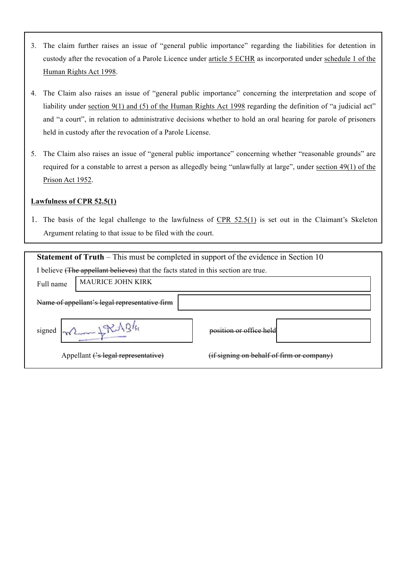- 3. The claim further raises an issue of "general public importance" regarding the liabilities for detention in custody after the revocation of a Parole Licence under article 5 ECHR as incorporated under schedule 1 of the Human Rights Act 1998.
- 4. The Claim also raises an issue of "general public importance" concerning the interpretation and scope of liability under section 9(1) and (5) of the Human Rights Act 1998 regarding the definition of "a judicial act" and "a court", in relation to administrative decisions whether to hold an oral hearing for parole of prisoners held in custody after the revocation of a Parole License.
- 5. The Claim also raises an issue of "general public importance" concerning whether "reasonable grounds" are required for a constable to arrest a person as allegedly being "unlawfully at large", under section 49(1) of the Prison Act 1952.

#### **Lawfulness of CPR 52.5(1)**

1. The basis of the legal challenge to the lawfulness of CPR 52.5(1) is set out in the Claimant's Skeleton Argument relating to that issue to be filed with the court.

| <b>Statement of Truth</b> – This must be completed in support of the evidence in Section 10 |                                           |  |
|---------------------------------------------------------------------------------------------|-------------------------------------------|--|
| I believe (The appellant believes) that the facts stated in this section are true.          |                                           |  |
| <b>MAURICE JOHN KIRK</b><br>Full name                                                       |                                           |  |
| Name of appellant's legal representative firm                                               |                                           |  |
| signed $m_1 + N_2 + M_3$                                                                    | position or office                        |  |
| Appellant ('s legal representative)                                                         | (if signing on behalf of firm or company) |  |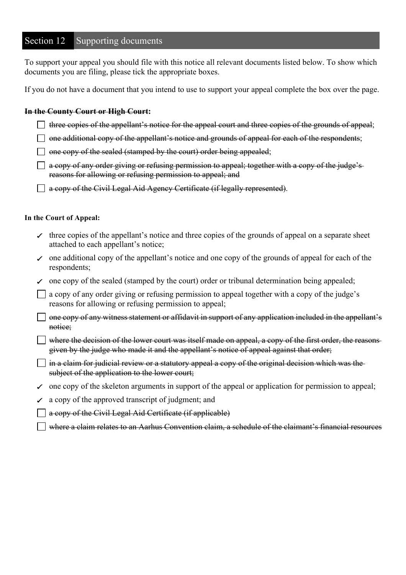## Section 12 Supporting documents

To support your appeal you should file with this notice all relevant documents listed below. To show which documents you are filing, please tick the appropriate boxes.

If you do not have a document that you intend to use to support your appeal complete the box over the page.

### **In the County Court or High Court:**

 $\Box$  three copies of the appellant's notice for the appeal court and three copies of the grounds of appeal;

 $\Box$  one additional copy of the appellant's notice and grounds of appeal for each of the respondents;

 $\Box$  one copy of the sealed (stamped by the court) order being appealed;

 $\Box$  a copy of any order giving or refusing permission to appeal; together with a copy of the judge's reasons for allowing or refusing permission to appeal; and

 $\Box$  a copy of the Civil Legal Aid Agency Certificate (if legally represented).

#### **In the Court of Appeal:**

- $\checkmark$  three copies of the appellant's notice and three copies of the grounds of appeal on a separate sheet attached to each appellant's notice;
- $\checkmark$  one additional copy of the appellant's notice and one copy of the grounds of appeal for each of the respondents;
- $\triangledown$  one copy of the sealed (stamped by the court) order or tribunal determination being appealed;

 $\Box$  a copy of any order giving or refusing permission to appeal together with a copy of the judge's reasons for allowing or refusing permission to appeal;

- $\Box$  one copy of any witness statement or affidavit in support of any application included in the appellant's notice;
- $\Box$  where the decision of the lower court was itself made on appeal, a copy of the first order, the reasonsgiven by the judge who made it and the appellant's notice of appeal against that order;
- $\Box$  in a claim for judicial review or a statutory appeal a copy of the original decision which was the subject of the application to the lower court;
- $\checkmark$  one copy of the skeleton arguments in support of the appeal or application for permission to appeal;
- $\angle$  a copy of the approved transcript of judgment; and
- a copy of the Civil Legal Aid Certificate (if applicable)
- where a claim relates to an Aarhus Convention claim, a schedule of the claimant's financial resources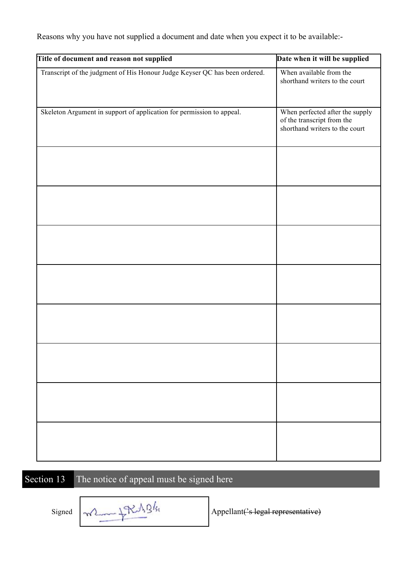Reasons why you have not supplied a document and date when you expect it to be available:-

| Title of document and reason not supplied                                  | Date when it will be supplied                                                                   |
|----------------------------------------------------------------------------|-------------------------------------------------------------------------------------------------|
| Transcript of the judgment of His Honour Judge Keyser QC has been ordered. | When available from the<br>shorthand writers to the court                                       |
| Skeleton Argument in support of application for permission to appeal.      | When perfected after the supply<br>of the transcript from the<br>shorthand writers to the court |
|                                                                            |                                                                                                 |
|                                                                            |                                                                                                 |
|                                                                            |                                                                                                 |
|                                                                            |                                                                                                 |
|                                                                            |                                                                                                 |
|                                                                            |                                                                                                 |
|                                                                            |                                                                                                 |
|                                                                            |                                                                                                 |

Section 13 The notice of appeal must be signed here

Signed  $\sqrt{\frac{1}{\text{N}}\frac{1}{\text{N}}\frac{1}{\text{N}}\frac{1}{\text{N}}}}$  Appellant<del>('s legal representative)</del>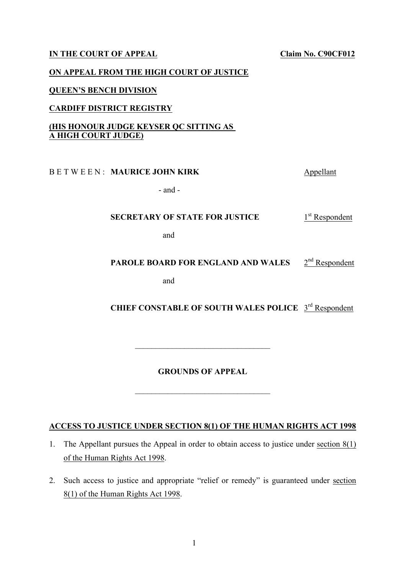### **IN THE COURT OF APPEAL CLAIM NO. C90CF012**

#### **ON APPEAL FROM THE HIGH COURT OF JUSTICE**

### **QUEEN'S BENCH DIVISION**

### **CARDIFF DISTRICT REGISTRY**

## **(HIS HONOUR JUDGE KEYSER QC SITTING AS A HIGH COURT JUDGE)**

### B E T W E E N : **MAURICE JOHN KIRK** Appellant

- and -

## **SECRETARY OF STATE FOR JUSTICE** 1<sup>st</sup> Respondent

and

### **PAROLE BOARD FOR ENGLAND AND WALES**  $2^{nd}$  Respondent

and

## CHIEF CONSTABLE OF SOUTH WALES POLICE 3<sup>rd</sup> Respondent

## **GROUNDS OF APPEAL**

 $\mathcal{L}_\text{max}$  , and the set of the set of the set of the set of the set of the set of the set of the set of the set of the set of the set of the set of the set of the set of the set of the set of the set of the set of the

 $\mathcal{L}_\text{max}$  , and the set of the set of the set of the set of the set of the set of the set of the set of the set of the set of the set of the set of the set of the set of the set of the set of the set of the set of the

## **ACCESS TO JUSTICE UNDER SECTION 8(1) OF THE HUMAN RIGHTS ACT 1998**

- 1. The Appellant pursues the Appeal in order to obtain access to justice under section 8(1) of the Human Rights Act 1998.
- 2. Such access to justice and appropriate "relief or remedy" is guaranteed under section 8(1) of the Human Rights Act 1998.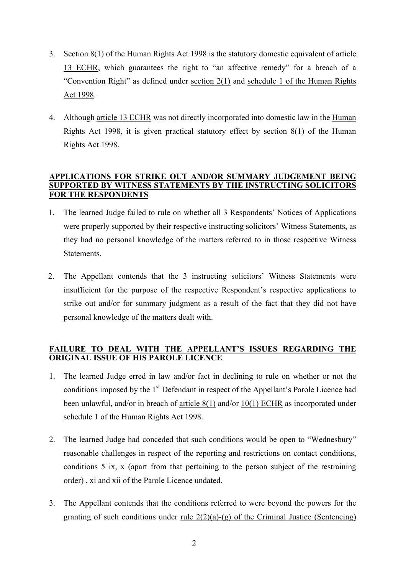- 3. Section 8(1) of the Human Rights Act 1998 is the statutory domestic equivalent of article 13 ECHR, which guarantees the right to "an affective remedy" for a breach of a "Convention Right" as defined under section 2(1) and schedule 1 of the Human Rights Act 1998.
- 4. Although article 13 ECHR was not directly incorporated into domestic law in the Human Rights Act 1998, it is given practical statutory effect by section 8(1) of the Human Rights Act 1998.

### **APPLICATIONS FOR STRIKE OUT AND/OR SUMMARY JUDGEMENT BEING SUPPORTED BY WITNESS STATEMENTS BY THE INSTRUCTING SOLICITORS FOR THE RESPONDENTS**

- 1. The learned Judge failed to rule on whether all 3 Respondents' Notices of Applications were properly supported by their respective instructing solicitors' Witness Statements, as they had no personal knowledge of the matters referred to in those respective Witness **Statements**
- 2. The Appellant contends that the 3 instructing solicitors' Witness Statements were insufficient for the purpose of the respective Respondent's respective applications to strike out and/or for summary judgment as a result of the fact that they did not have personal knowledge of the matters dealt with.

## **FAILURE TO DEAL WITH THE APPELLANT'S ISSUES REGARDING THE ORIGINAL ISSUE OF HIS PAROLE LICENCE**

- 1. The learned Judge erred in law and/or fact in declining to rule on whether or not the conditions imposed by the 1<sup>st</sup> Defendant in respect of the Appellant's Parole Licence had been unlawful, and/or in breach of article 8(1) and/or 10(1) ECHR as incorporated under schedule 1 of the Human Rights Act 1998.
- 2. The learned Judge had conceded that such conditions would be open to "Wednesbury" reasonable challenges in respect of the reporting and restrictions on contact conditions, conditions 5 ix, x (apart from that pertaining to the person subject of the restraining order) , xi and xii of the Parole Licence undated.
- 3. The Appellant contends that the conditions referred to were beyond the powers for the granting of such conditions under rule  $2(2)(a)-(g)$  of the Criminal Justice (Sentencing)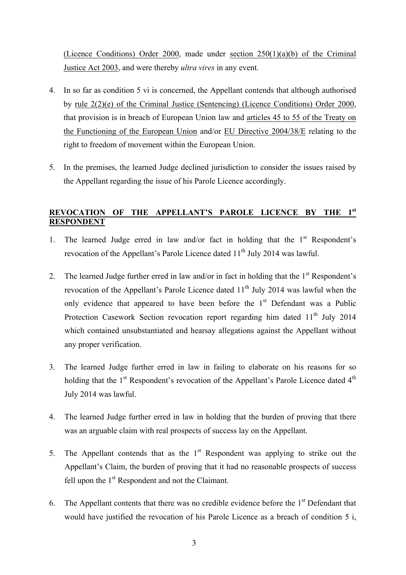(Licence Conditions) Order 2000, made under section  $250(1)(a)(b)$  of the Criminal Justice Act 2003, and were thereby *ultra vires* in any event.

- 4. In so far as condition 5 vi is concerned, the Appellant contends that although authorised by rule 2(2)(e) of the Criminal Justice (Sentencing) (Licence Conditions) Order 2000, that provision is in breach of European Union law and articles 45 to 55 of the Treaty on the Functioning of the European Union and/or EU Directive 2004/38/E relating to the right to freedom of movement within the European Union.
- 5. In the premises, the learned Judge declined jurisdiction to consider the issues raised by the Appellant regarding the issue of his Parole Licence accordingly.

## **REVOCATION OF THE APPELLANT'S PAROLE LICENCE BY THE 1st RESPONDENT**

- 1. The learned Judge erred in law and/or fact in holding that the  $1<sup>st</sup>$  Respondent's revocation of the Appellant's Parole Licence dated  $11<sup>th</sup>$  July 2014 was lawful.
- 2. The learned Judge further erred in law and/or in fact in holding that the  $1<sup>st</sup>$  Respondent's revocation of the Appellant's Parole Licence dated  $11<sup>th</sup>$  July 2014 was lawful when the only evidence that appeared to have been before the  $1<sup>st</sup>$  Defendant was a Public Protection Casework Section revocation report regarding him dated  $11<sup>th</sup>$  July 2014 which contained unsubstantiated and hearsay allegations against the Appellant without any proper verification.
- 3. The learned Judge further erred in law in failing to elaborate on his reasons for so holding that the  $1<sup>st</sup>$  Respondent's revocation of the Appellant's Parole Licence dated  $4<sup>th</sup>$ July 2014 was lawful.
- 4. The learned Judge further erred in law in holding that the burden of proving that there was an arguable claim with real prospects of success lay on the Appellant.
- 5. The Appellant contends that as the  $1<sup>st</sup>$  Respondent was applying to strike out the Appellant's Claim, the burden of proving that it had no reasonable prospects of success fell upon the  $1<sup>st</sup>$  Respondent and not the Claimant.
- 6. The Appellant contents that there was no credible evidence before the  $1<sup>st</sup>$  Defendant that would have justified the revocation of his Parole Licence as a breach of condition 5 i,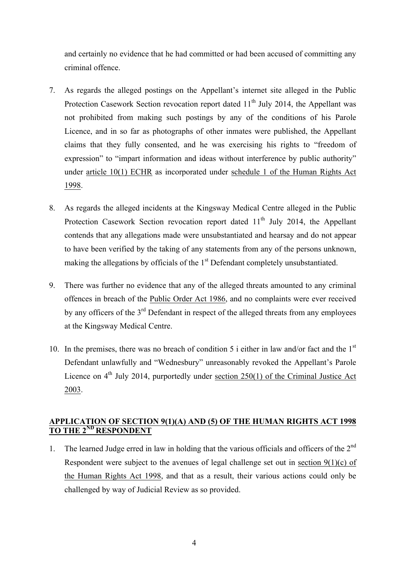and certainly no evidence that he had committed or had been accused of committing any criminal offence.

- 7. As regards the alleged postings on the Appellant's internet site alleged in the Public Protection Casework Section revocation report dated  $11<sup>th</sup>$  July 2014, the Appellant was not prohibited from making such postings by any of the conditions of his Parole Licence, and in so far as photographs of other inmates were published, the Appellant claims that they fully consented, and he was exercising his rights to "freedom of expression" to "impart information and ideas without interference by public authority" under article 10(1) ECHR as incorporated under schedule 1 of the Human Rights Act 1998.
- 8. As regards the alleged incidents at the Kingsway Medical Centre alleged in the Public Protection Casework Section revocation report dated  $11<sup>th</sup>$  July 2014, the Appellant contends that any allegations made were unsubstantiated and hearsay and do not appear to have been verified by the taking of any statements from any of the persons unknown, making the allegations by officials of the  $1<sup>st</sup>$  Defendant completely unsubstantiated.
- 9. There was further no evidence that any of the alleged threats amounted to any criminal offences in breach of the Public Order Act 1986, and no complaints were ever received by any officers of the 3<sup>rd</sup> Defendant in respect of the alleged threats from any employees at the Kingsway Medical Centre.
- 10. In the premises, there was no breach of condition 5 i either in law and/or fact and the  $1<sup>st</sup>$ Defendant unlawfully and "Wednesbury" unreasonably revoked the Appellant's Parole Licence on  $4<sup>th</sup>$  July 2014, purportedly under section 250(1) of the Criminal Justice Act 2003.

## **APPLICATION OF SECTION 9(1)(A) AND (5) OF THE HUMAN RIGHTS ACT 1998 TO THE 2ND RESPONDENT**

1. The learned Judge erred in law in holding that the various officials and officers of the  $2<sup>nd</sup>$ Respondent were subject to the avenues of legal challenge set out in section 9(1)(c) of the Human Rights Act 1998, and that as a result, their various actions could only be challenged by way of Judicial Review as so provided.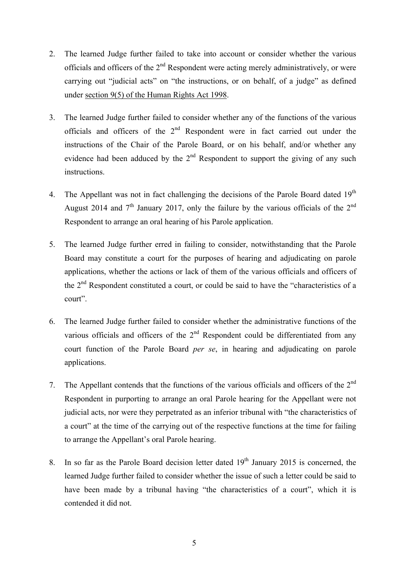- 2. The learned Judge further failed to take into account or consider whether the various officials and officers of the  $2<sup>nd</sup>$  Respondent were acting merely administratively, or were carrying out "judicial acts" on "the instructions, or on behalf, of a judge" as defined under section 9(5) of the Human Rights Act 1998.
- 3. The learned Judge further failed to consider whether any of the functions of the various officials and officers of the  $2<sup>nd</sup>$  Respondent were in fact carried out under the instructions of the Chair of the Parole Board, or on his behalf, and/or whether any evidence had been adduced by the  $2<sup>nd</sup>$  Respondent to support the giving of any such instructions.
- 4. The Appellant was not in fact challenging the decisions of the Parole Board dated 19<sup>th</sup> August 2014 and  $7<sup>th</sup>$  January 2017, only the failure by the various officials of the  $2<sup>nd</sup>$ Respondent to arrange an oral hearing of his Parole application.
- 5. The learned Judge further erred in failing to consider, notwithstanding that the Parole Board may constitute a court for the purposes of hearing and adjudicating on parole applications, whether the actions or lack of them of the various officials and officers of the  $2<sup>nd</sup>$  Respondent constituted a court, or could be said to have the "characteristics of a court".
- 6. The learned Judge further failed to consider whether the administrative functions of the various officials and officers of the  $2<sup>nd</sup>$  Respondent could be differentiated from any court function of the Parole Board *per se*, in hearing and adjudicating on parole applications.
- 7. The Appellant contends that the functions of the various officials and officers of the  $2<sup>nd</sup>$ Respondent in purporting to arrange an oral Parole hearing for the Appellant were not judicial acts, nor were they perpetrated as an inferior tribunal with "the characteristics of a court" at the time of the carrying out of the respective functions at the time for failing to arrange the Appellant's oral Parole hearing.
- 8. In so far as the Parole Board decision letter dated  $19<sup>th</sup>$  January 2015 is concerned, the learned Judge further failed to consider whether the issue of such a letter could be said to have been made by a tribunal having "the characteristics of a court", which it is contended it did not.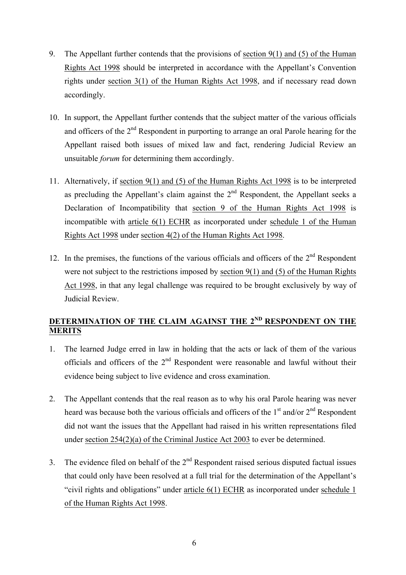- 9. The Appellant further contends that the provisions of section 9(1) and (5) of the Human Rights Act 1998 should be interpreted in accordance with the Appellant's Convention rights under section 3(1) of the Human Rights Act 1998, and if necessary read down accordingly.
- 10. In support, the Appellant further contends that the subject matter of the various officials and officers of the 2<sup>nd</sup> Respondent in purporting to arrange an oral Parole hearing for the Appellant raised both issues of mixed law and fact, rendering Judicial Review an unsuitable *forum* for determining them accordingly.
- 11. Alternatively, if section 9(1) and (5) of the Human Rights Act 1998 is to be interpreted as precluding the Appellant's claim against the  $2<sup>nd</sup>$  Respondent, the Appellant seeks a Declaration of Incompatibility that section 9 of the Human Rights Act 1998 is incompatible with article 6(1) ECHR as incorporated under schedule 1 of the Human Rights Act 1998 under section 4(2) of the Human Rights Act 1998.
- 12. In the premises, the functions of the various officials and officers of the  $2<sup>nd</sup>$  Respondent were not subject to the restrictions imposed by section 9(1) and (5) of the Human Rights Act 1998, in that any legal challenge was required to be brought exclusively by way of Judicial Review.

## DETERMINATION OF THE CLAIM AGAINST THE 2<sup>ND</sup> RESPONDENT ON THE **MERITS**

- 1. The learned Judge erred in law in holding that the acts or lack of them of the various officials and officers of the  $2<sup>nd</sup>$  Respondent were reasonable and lawful without their evidence being subject to live evidence and cross examination.
- 2. The Appellant contends that the real reason as to why his oral Parole hearing was never heard was because both the various officials and officers of the  $1<sup>st</sup>$  and/or  $2<sup>nd</sup>$  Respondent did not want the issues that the Appellant had raised in his written representations filed under section 254(2)(a) of the Criminal Justice Act 2003 to ever be determined.
- 3. The evidence filed on behalf of the  $2<sup>nd</sup>$  Respondent raised serious disputed factual issues that could only have been resolved at a full trial for the determination of the Appellant's "civil rights and obligations" under article 6(1) ECHR as incorporated under schedule 1 of the Human Rights Act 1998.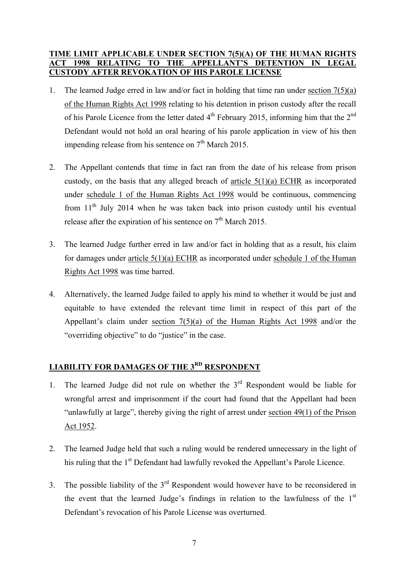## **TIME LIMIT APPLICABLE UNDER SECTION 7(5)(A) OF THE HUMAN RIGHTS ACT 1998 RELATING TO THE APPELLANT'S DETENTION IN LEGAL CUSTODY AFTER REVOKATION OF HIS PAROLE LICENSE**

- 1. The learned Judge erred in law and/or fact in holding that time ran under section 7(5)(a) of the Human Rights Act 1998 relating to his detention in prison custody after the recall of his Parole Licence from the letter dated  $4<sup>th</sup>$  February 2015, informing him that the  $2<sup>nd</sup>$ Defendant would not hold an oral hearing of his parole application in view of his then impending release from his sentence on  $7<sup>th</sup>$  March 2015.
- 2. The Appellant contends that time in fact ran from the date of his release from prison custody, on the basis that any alleged breach of article 5(1)(a) ECHR as incorporated under schedule 1 of the Human Rights Act 1998 would be continuous, commencing from  $11<sup>th</sup>$  July 2014 when he was taken back into prison custody until his eventual release after the expiration of his sentence on  $7<sup>th</sup>$  March 2015.
- 3. The learned Judge further erred in law and/or fact in holding that as a result, his claim for damages under article 5(1)(a) ECHR as incorporated under schedule 1 of the Human Rights Act 1998 was time barred.
- 4. Alternatively, the learned Judge failed to apply his mind to whether it would be just and equitable to have extended the relevant time limit in respect of this part of the Appellant's claim under section 7(5)(a) of the Human Rights Act 1998 and/or the "overriding objective" to do "justice" in the case.

# **LIABILITY FOR DAMAGES OF THE 3RD RESPONDENT**

- 1. The learned Judge did not rule on whether the  $3<sup>rd</sup>$  Respondent would be liable for wrongful arrest and imprisonment if the court had found that the Appellant had been "unlawfully at large", thereby giving the right of arrest under section  $49(1)$  of the Prison Act 1952.
- 2. The learned Judge held that such a ruling would be rendered unnecessary in the light of his ruling that the 1<sup>st</sup> Defendant had lawfully revoked the Appellant's Parole Licence.
- 3. The possible liability of the  $3<sup>rd</sup>$  Respondent would however have to be reconsidered in the event that the learned Judge's findings in relation to the lawfulness of the  $1<sup>st</sup>$ Defendant's revocation of his Parole License was overturned.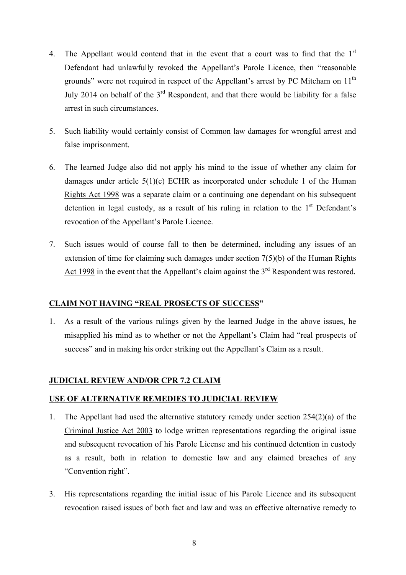- 4. The Appellant would contend that in the event that a court was to find that the  $1<sup>st</sup>$ Defendant had unlawfully revoked the Appellant's Parole Licence, then "reasonable grounds" were not required in respect of the Appellant's arrest by PC Mitcham on 11<sup>th</sup> July 2014 on behalf of the  $3<sup>rd</sup>$  Respondent, and that there would be liability for a false arrest in such circumstances.
- 5. Such liability would certainly consist of Common law damages for wrongful arrest and false imprisonment.
- 6. The learned Judge also did not apply his mind to the issue of whether any claim for damages under article 5(1)(c) ECHR as incorporated under schedule 1 of the Human Rights Act 1998 was a separate claim or a continuing one dependant on his subsequent detention in legal custody, as a result of his ruling in relation to the  $1<sup>st</sup>$  Defendant's revocation of the Appellant's Parole Licence.
- 7. Such issues would of course fall to then be determined, including any issues of an extension of time for claiming such damages under section 7(5)(b) of the Human Rights Act 1998 in the event that the Appellant's claim against the  $3<sup>rd</sup>$  Respondent was restored.

### **CLAIM NOT HAVING "REAL PROSECTS OF SUCCESS"**

1. As a result of the various rulings given by the learned Judge in the above issues, he misapplied his mind as to whether or not the Appellant's Claim had "real prospects of success" and in making his order striking out the Appellant's Claim as a result.

### **JUDICIAL REVIEW AND/OR CPR 7.2 CLAIM**

### **USE OF ALTERNATIVE REMEDIES TO JUDICIAL REVIEW**

- 1. The Appellant had used the alternative statutory remedy under section 254(2)(a) of the Criminal Justice Act 2003 to lodge written representations regarding the original issue and subsequent revocation of his Parole License and his continued detention in custody as a result, both in relation to domestic law and any claimed breaches of any "Convention right".
- 3. His representations regarding the initial issue of his Parole Licence and its subsequent revocation raised issues of both fact and law and was an effective alternative remedy to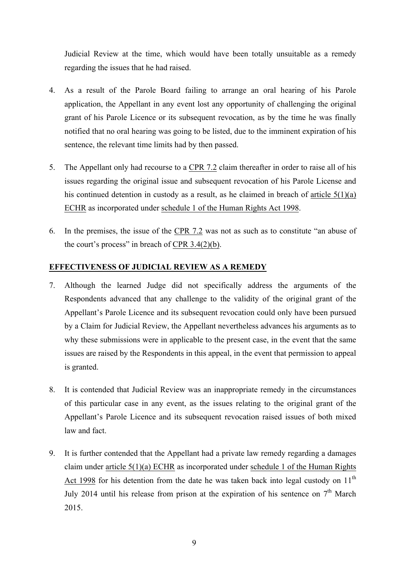Judicial Review at the time, which would have been totally unsuitable as a remedy regarding the issues that he had raised.

- 4. As a result of the Parole Board failing to arrange an oral hearing of his Parole application, the Appellant in any event lost any opportunity of challenging the original grant of his Parole Licence or its subsequent revocation, as by the time he was finally notified that no oral hearing was going to be listed, due to the imminent expiration of his sentence, the relevant time limits had by then passed.
- 5. The Appellant only had recourse to a CPR 7.2 claim thereafter in order to raise all of his issues regarding the original issue and subsequent revocation of his Parole License and his continued detention in custody as a result, as he claimed in breach of article  $5(1)(a)$ ECHR as incorporated under schedule 1 of the Human Rights Act 1998.
- 6. In the premises, the issue of the CPR 7.2 was not as such as to constitute "an abuse of the court's process" in breach of CPR 3.4(2)(b).

### **EFFECTIVENESS OF JUDICIAL REVIEW AS A REMEDY**

- 7. Although the learned Judge did not specifically address the arguments of the Respondents advanced that any challenge to the validity of the original grant of the Appellant's Parole Licence and its subsequent revocation could only have been pursued by a Claim for Judicial Review, the Appellant nevertheless advances his arguments as to why these submissions were in applicable to the present case, in the event that the same issues are raised by the Respondents in this appeal, in the event that permission to appeal is granted.
- 8. It is contended that Judicial Review was an inappropriate remedy in the circumstances of this particular case in any event, as the issues relating to the original grant of the Appellant's Parole Licence and its subsequent revocation raised issues of both mixed law and fact.
- 9. It is further contended that the Appellant had a private law remedy regarding a damages claim under article 5(1)(a) ECHR as incorporated under schedule 1 of the Human Rights Act 1998 for his detention from the date he was taken back into legal custody on  $11<sup>th</sup>$ July 2014 until his release from prison at the expiration of his sentence on  $7<sup>th</sup>$  March 2015.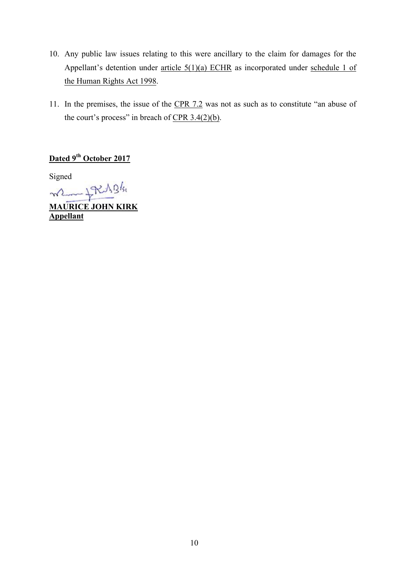- 10. Any public law issues relating to this were ancillary to the claim for damages for the Appellant's detention under article 5(1)(a) ECHR as incorporated under schedule 1 of the Human Rights Act 1998.
- 11. In the premises, the issue of the CPR 7.2 was not as such as to constitute "an abuse of the court's process" in breach of  $CPR 3.4(2)(b)$ .

**Dated 9th October 2017**

Signed  $\sqrt{\mathcal{R} \mathcal{A} \mathcal{B}}$ **MAURICE JOHN KIRK**

**Appellant**